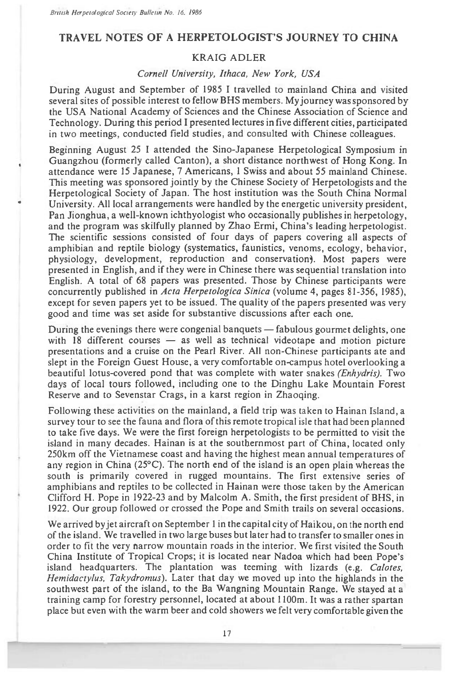## **TRAVEL NOTES OF A HERPETOLOGIST'S JOURNEY TO CHINA**

## KRAIG ADLER

## *Cornell University, Ithaca, New York, USA*

During August and September of 1985 I travelled to mainland China and visited several sites of possible interest to fellow BHS members. My journey was sponsored by the USA National Academy of Sciences and the Chinese Association of Science and Technology. During this period I presented lectures in five different cities, participated in two meetings, conducted field studies, and consulted with Chinese colleagues.

Beginning August 25 I attended the Sino-Japanese Herpetological Symposium in Guangzhou (formerly called Canton), a short distance northwest of Hong Kong. In attendance were 15 Japanese, 7 Americans, 1 Swiss and about 55 mainland Chinese. This meeting was sponsored jointly by the Chinese Society of Herpetologists and the Herpetological Society of Japan. The host institution was the South China Normal University. All local arrangements were handled by the energetic university president, Pan Jionghua, a well-known ichthyologist who occasionally publishes in herpetology, and the program was skilfully planned by Zhao Ermi, China's leading herpetologist. The scientific sessions consisted of four days of papers covering all aspects of amphibian and reptile biology (systematics, faunistics, venoms, ecology, behavior, physiology, development, reproduction and conservation). Most papers were presented in English, and if they were in Chinese there was sequential translation into English. A total of 68 papers was presented. Those by Chinese participants were concurrently published in *Acta Herpetologica Sinica* (volume 4, pages 81-356, 1985), except for seven papers yet to be issued. The quality of the papers presented was very good and time was set aside for substantive discussions after each one.

During the evenings there were congenial banquets — fabulous gourmet delights, one with 18 different courses — as well as technical videotape and motion picture presentations and a cruise on the Pearl River. All non-Chinese participants ate and slept in the Foreign Guest House, a very comfortable on-campus hotel overlooking a beautiful lotus-covered pond that was complete with water snakes *(Enhydris).* Two days of local tours followed, including one to the Dinghu Lake Mountain Forest Reserve and to Sevenstar Crags, in a karst region in Zhaoqing.

Following these activities on the mainland, a field trip was taken to Hainan Island, a survey tour to see the fauna and flora of this remote tropical isle that had been planned to take five days. We were the first foreign herpetologists to be permitted to visit the island in many decades. Hainan is at the southernmost part of China, located only 250km off the Vietnamese coast and having the highest mean annual temperatures of any region in China  $(25^{\circ}C)$ . The north end of the island is an open plain whereas the south is primarily covered in rugged mountains. The first extensive series of amphibians and reptiles to be collected in Hainan were those taken by the American Clifford H. Pope in 1922-23 and by Malcolm A. Smith, the first president of BHS, in 1922. Our group followed or crossed the Pope and Smith trails on several occasions.

We arrived by jet aircraft on September 1 in the capital city of Haikou, on the north end of the island. We travelled in two large buses but later had to transfer to smaller ones in order to fit the very narrow mountain roads in the interior. We first visited the South China Institute of Tropical Crops; it is located near Nadoa which had been Pope's island headquarters. The plantation was teeming with lizards (e.g. *Calotes, Hemidactylus, Takydromus).* Later that day we moved up into the highlands in the southwest part of the island, to the Ba Wangning Mountain Range. We stayed at a training camp for forestry personnel, located at about 1100m. It was a rather spartan place but even with the warm beer and cold showers we felt very comfortable given the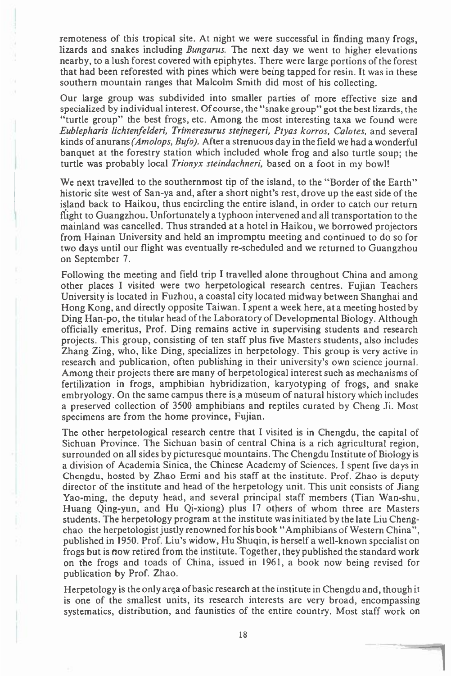remoteness of this tropical site. At night we were successful in finding many frogs, lizards and snakes including *Bungarus.* The next day we went to higher elevations nearby, to a lush forest covered with epiphytes. There were large portions of the forest that had been reforested with pines which were being tapped for resin. It was in these southern mountain ranges that Malcolm Smith did most of his collecting.

Our large group was subdivided into smaller parties of more effective size and specialized by individual interest. Of course, the "snake group" got the best lizards, the "turtle group" the best frogs, etc. Among the most interesting taxa we found were *Eublepharis lichtenfelderi, Trimeresurus stejnegeri, Ptyas korros, Calotes,* and several kinds of anurans *(Amolops, Bufo).* After a strenuous day in the field we had a wonderful banquet at the forestry station which included whole frog and also turtle soup; the turtle was probably local *Trionyx steindachneri,* based on a foot in my bowl!

We next travelled to the southernmost tip of the island, to the "Border of the Earth" historic site west of San-ya and, after a short night's rest, drove up the east side of the island back to Haikou, thus encircling the entire island, in order to catch our return flight to Guangzhou. Unfortunately a typhoon intervened and all transportation to the mainland was cancelled. Thus stranded at a hotel in Haikou, we borrowed projectors from Hainan University and held an impromptu meeting and continued to do so for two days until our flight was eventually re-scheduled and we returned to Guangzhou on September 7.

Following the meeting and field trip I travelled alone throughout China and among other places I visited were two herpetological research centres. Fujian Teachers University is located in Fuzhou, a coastal city located midway between Shanghai and Hong Kong, and directly opposite Taiwan. I spent a week here, at a meeting hosted by Ding Han-po, the titular head of the Laboratory of Developmental Biology. Although officially emeritus, Prof. Ding remains active in supervising students and research projects. This group, consisting of ten staff plus five Masters students, also includes Zhang Zing, who, like Ding, specializes in herpetology. This group is very active in research and publication, often publishing in their university's own science journal. Among their projects there are many of herpetological interest such as mechanisms of fertilization in frogs, amphibian hybridization, karyotyping of frogs, and snake embryology. On the same campus there is a museum of natural history which includes a preserved collection of 3500 amphibians and reptiles curated by Cheng Ji. Most specimens are from the home province, Fujian.

The other herpetological research centre that I visited is in Chengdu, the capital of Sichuan Province. The Sichuan basin of central China is a rich agricultural region, surrounded on all sides by picturesque mountains. The Chengdu Institute of Biology is a division of Academia Sinica, the Chinese Academy of Sciences. I spent five days in Chengdu, hosted by Zhao Ermi and his staff at the institute. Prof. Zhao is deputy director of the institute and head of the herpetology unit. This unit consists of Jiang Yao-ming, the deputy head, and several principal staff members (Tian Wan-shu, Huang Qing-yun, and Hu Qi-xiong) plus 17 others of whom three are Masters students. The herpetology program at the institute was initiated by the late Liu Chengchao the herpetologist justly renowned for his book "Amphibians of Western China", published in 1950. Prof. Liu's widow, Hu Shuqin, is herself a well-known specialist on frogs but is now retired from the institute. Together, they published the standard work on the frogs and toads of China, issued in 1961, a book now being revised for publication by Prof. Zhao.

Herpetology is the only area of basic research at the institute in Chengdu and, though it is one of the smallest units, its research interests are very broad, encompassing systematics, distribution, and faunistics of the entire country. Most staff work on